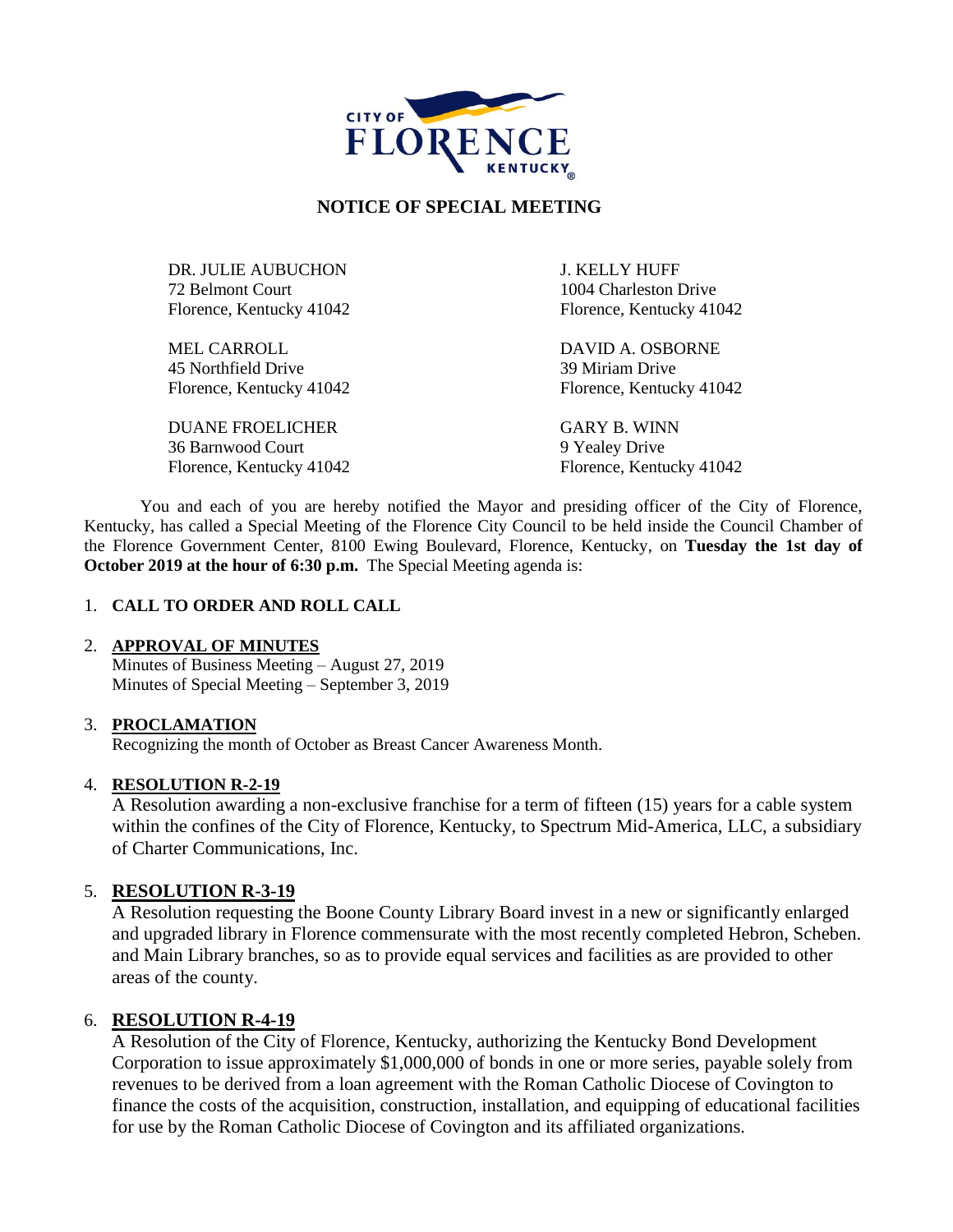

## **NOTICE OF SPECIAL MEETING**

DR. JULIE AUBUCHON J. KELLY HUFF 72 Belmont Court 1004 Charleston Drive Florence, Kentucky 41042 Florence, Kentucky 41042

MEL CARROLL DAVID A. OSBORNE 45 Northfield Drive 39 Miriam Drive

DUANE FROELICHER GARY B. WINN 36 Barnwood Court 9 Yealey Drive Florence, Kentucky 41042 Florence, Kentucky 41042

Florence, Kentucky 41042 Florence, Kentucky 41042

You and each of you are hereby notified the Mayor and presiding officer of the City of Florence, Kentucky, has called a Special Meeting of the Florence City Council to be held inside the Council Chamber of the Florence Government Center, 8100 Ewing Boulevard, Florence, Kentucky, on **Tuesday the 1st day of October 2019 at the hour of 6:30 p.m.** The Special Meeting agenda is:

### 1. **CALL TO ORDER AND ROLL CALL**

### 2. **APPROVAL OF MINUTES**

Minutes of Business Meeting – August 27, 2019 Minutes of Special Meeting – September 3, 2019

### 3. **PROCLAMATION**

Recognizing the month of October as Breast Cancer Awareness Month.

### 4. **RESOLUTION R-2-19**

A Resolution awarding a non-exclusive franchise for a term of fifteen (15) years for a cable system within the confines of the City of Florence, Kentucky, to Spectrum Mid-America, LLC, a subsidiary of Charter Communications, Inc.

## 5. **RESOLUTION R-3-19**

A Resolution requesting the Boone County Library Board invest in a new or significantly enlarged and upgraded library in Florence commensurate with the most recently completed Hebron, Scheben. and Main Library branches, so as to provide equal services and facilities as are provided to other areas of the county.

## 6. **RESOLUTION R-4-19**

A Resolution of the City of Florence, Kentucky, authorizing the Kentucky Bond Development Corporation to issue approximately \$1,000,000 of bonds in one or more series, payable solely from revenues to be derived from a loan agreement with the Roman Catholic Diocese of Covington to finance the costs of the acquisition, construction, installation, and equipping of educational facilities for use by the Roman Catholic Diocese of Covington and its affiliated organizations.